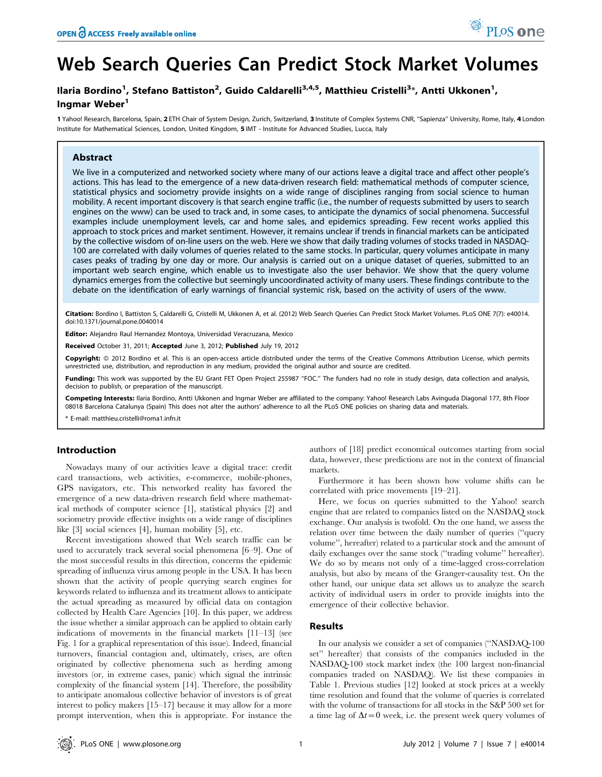# Web Search Queries Can Predict Stock Market Volumes

# Ilaria Bordino<sup>1</sup>, Stefano Battiston<sup>2</sup>, Guido Caldarelli<sup>3,4,5</sup>, Matthieu Cristelli<sup>3</sup>\*, Antti Ukkonen<sup>1</sup>, Ingmar Weber<sup>1</sup>

1 Yahoo! Research, Barcelona, Spain, 2 ETH Chair of System Design, Zurich, Switzerland, 3 Institute of Complex Systems CNR, "Sapienza" University, Rome, Italy, 4 London Institute for Mathematical Sciences, London, United Kingdom, 5 IMT - Institute for Advanced Studies, Lucca, Italy

## Abstract

We live in a computerized and networked society where many of our actions leave a digital trace and affect other people's actions. This has lead to the emergence of a new data-driven research field: mathematical methods of computer science, statistical physics and sociometry provide insights on a wide range of disciplines ranging from social science to human mobility. A recent important discovery is that search engine traffic (i.e., the number of requests submitted by users to search engines on the www) can be used to track and, in some cases, to anticipate the dynamics of social phenomena. Successful examples include unemployment levels, car and home sales, and epidemics spreading. Few recent works applied this approach to stock prices and market sentiment. However, it remains unclear if trends in financial markets can be anticipated by the collective wisdom of on-line users on the web. Here we show that daily trading volumes of stocks traded in NASDAQ-100 are correlated with daily volumes of queries related to the same stocks. In particular, query volumes anticipate in many cases peaks of trading by one day or more. Our analysis is carried out on a unique dataset of queries, submitted to an important web search engine, which enable us to investigate also the user behavior. We show that the query volume dynamics emerges from the collective but seemingly uncoordinated activity of many users. These findings contribute to the debate on the identification of early warnings of financial systemic risk, based on the activity of users of the www.

Citation: Bordino I, Battiston S, Caldarelli G, Cristelli M, Ukkonen A, et al. (2012) Web Search Queries Can Predict Stock Market Volumes. PLoS ONE 7(7): e40014. doi:10.1371/journal.pone.0040014

Editor: Alejandro Raul Hernandez Montoya, Universidad Veracruzana, Mexico

Received October 31, 2011; Accepted June 3, 2012; Published July 19, 2012

**Copyright:** © 2012 Bordino et al. This is an open-access article distributed under the terms of the Creative Commons Attribution License, which permits unrestricted use, distribution, and reproduction in any medium, provided the original author and source are credited.

Funding: This work was supported by the EU Grant FET Open Project 255987 "FOC." The funders had no role in study design, data collection and analysis, decision to publish, or preparation of the manuscript.

Competing Interests: Ilaria Bordino, Antti Ukkonen and Ingmar Weber are affiliated to the company: Yahoo! Research Labs Avinguda Diagonal 177, 8th Floor 08018 Barcelona Catalunya (Spain) This does not alter the authors' adherence to all the PLoS ONE policies on sharing data and materials.

\* E-mail: matthieu.cristelli@roma1.infn.it

#### Introduction

Nowadays many of our activities leave a digital trace: credit card transactions, web activities, e-commerce, mobile-phones, GPS navigators, etc. This networked reality has favored the emergence of a new data-driven research field where mathematical methods of computer science [1], statistical physics [2] and sociometry provide effective insights on a wide range of disciplines like [3] social sciences [4], human mobility [5], etc.

Recent investigations showed that Web search traffic can be used to accurately track several social phenomena [6–9]. One of the most successful results in this direction, concerns the epidemic spreading of influenza virus among people in the USA. It has been shown that the activity of people querying search engines for keywords related to influenza and its treatment allows to anticipate the actual spreading as measured by official data on contagion collected by Health Care Agencies [10]. In this paper, we address the issue whether a similar approach can be applied to obtain early indications of movements in the financial markets  $[11-13]$  (see Fig. 1 for a graphical representation of this issue). Indeed, financial turnovers, financial contagion and, ultimately, crises, are often originated by collective phenomena such as herding among investors (or, in extreme cases, panic) which signal the intrinsic complexity of the financial system [14]. Therefore, the possibility to anticipate anomalous collective behavior of investors is of great interest to policy makers [15–17] because it may allow for a more prompt intervention, when this is appropriate. For instance the

authors of [18] predict economical outcomes starting from social data, however, these predictions are not in the context of financial markets.

Furthermore it has been shown how volume shifts can be correlated with price movements [19–21].

Here, we focus on queries submitted to the Yahoo! search engine that are related to companies listed on the NASDAQ stock exchange. Our analysis is twofold. On the one hand, we assess the relation over time between the daily number of queries (''query volume'', hereafter) related to a particular stock and the amount of daily exchanges over the same stock (''trading volume'' hereafter). We do so by means not only of a time-lagged cross-correlation analysis, but also by means of the Granger-causality test. On the other hand, our unique data set allows us to analyze the search activity of individual users in order to provide insights into the emergence of their collective behavior.

# Results

In our analysis we consider a set of companies (''NASDAQ-100 set'' hereafter) that consists of the companies included in the NASDAQ-100 stock market index (the 100 largest non-financial companies traded on NASDAQ). We list these companies in Table 1. Previous studies [12] looked at stock prices at a weekly time resolution and found that the volume of queries is correlated with the volume of transactions for all stocks in the S&P 500 set for a time lag of  $\Delta t=0$  week, i.e. the present week query volumes of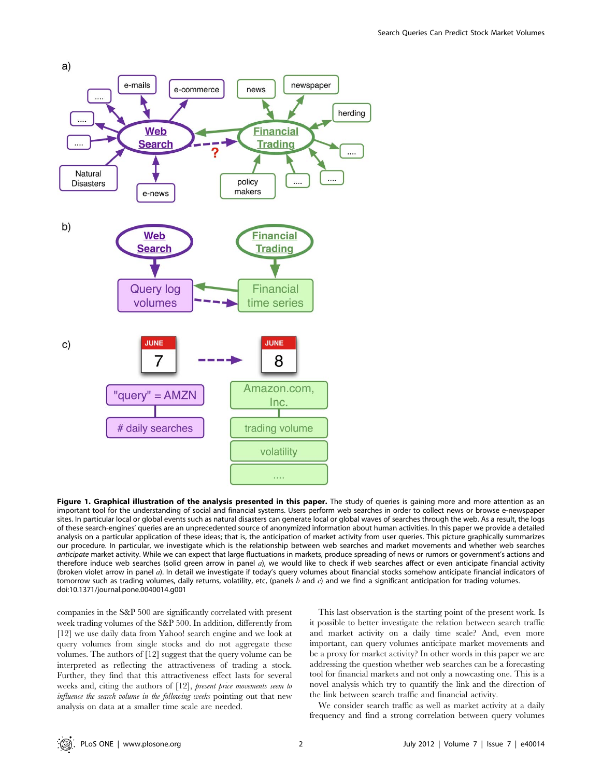

Figure 1. Graphical illustration of the analysis presented in this paper. The study of queries is gaining more and more attention as an important tool for the understanding of social and financial systems. Users perform web searches in order to collect news or browse e-newspaper sites. In particular local or global events such as natural disasters can generate local or global waves of searches through the web. As a result, the logs of these search-engines' queries are an unprecedented source of anonymized information about human activities. In this paper we provide a detailed analysis on a particular application of these ideas; that is, the anticipation of market activity from user queries. This picture graphically summarizes our procedure. In particular, we investigate which is the relationship between web searches and market movements and whether web searches anticipate market activity. While we can expect that large fluctuations in markets, produce spreading of news or rumors or government's actions and therefore induce web searches (solid green arrow in panel  $a$ ), we would like to check if web searches affect or even anticipate financial activity (broken violet arrow in panel a). In detail we investigate if today's query volumes about financial stocks somehow anticipate financial indicators of tomorrow such as trading volumes, daily returns, volatility, etc, (panels b and c) and we find a significant anticipation for trading volumes. doi:10.1371/journal.pone.0040014.g001

companies in the S&P 500 are significantly correlated with present week trading volumes of the S&P 500. In addition, differently from [12] we use daily data from Yahoo! search engine and we look at query volumes from single stocks and do not aggregate these volumes. The authors of [12] suggest that the query volume can be interpreted as reflecting the attractiveness of trading a stock. Further, they find that this attractiveness effect lasts for several weeks and, citing the authors of [12], *present price movements seem to* influence the search volume in the following weeks pointing out that new analysis on data at a smaller time scale are needed.

This last observation is the starting point of the present work. Is it possible to better investigate the relation between search traffic and market activity on a daily time scale? And, even more important, can query volumes anticipate market movements and be a proxy for market activity? In other words in this paper we are addressing the question whether web searches can be a forecasting tool for financial markets and not only a nowcasting one. This is a novel analysis which try to quantify the link and the direction of the link between search traffic and financial activity.

We consider search traffic as well as market activity at a daily frequency and find a strong correlation between query volumes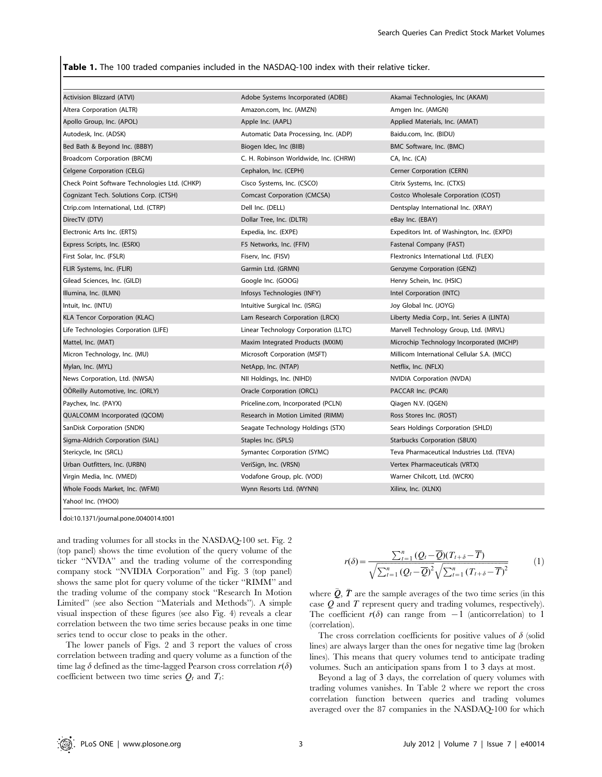#### Table 1. The 100 traded companies included in the NASDAQ-100 index with their relative ticker.

| <b>Activision Blizzard (ATVI)</b>             | Adobe Systems Incorporated (ADBE)     | Akamai Technologies, Inc (AKAM)             |
|-----------------------------------------------|---------------------------------------|---------------------------------------------|
| Altera Corporation (ALTR)                     | Amazon.com, Inc. (AMZN)               | Amgen Inc. (AMGN)                           |
| Apollo Group, Inc. (APOL)                     | Apple Inc. (AAPL)                     | Applied Materials, Inc. (AMAT)              |
| Autodesk, Inc. (ADSK)                         | Automatic Data Processing, Inc. (ADP) | Baidu.com, Inc. (BIDU)                      |
| Bed Bath & Beyond Inc. (BBBY)                 | Biogen Idec, Inc (BIIB)               | BMC Software, Inc. (BMC)                    |
| <b>Broadcom Corporation (BRCM)</b>            | C. H. Robinson Worldwide, Inc. (CHRW) | CA, Inc. (CA)                               |
| Celgene Corporation (CELG)                    | Cephalon, Inc. (CEPH)                 | Cerner Corporation (CERN)                   |
| Check Point Software Technologies Ltd. (CHKP) | Cisco Systems, Inc. (CSCO)            | Citrix Systems, Inc. (CTXS)                 |
| Cognizant Tech. Solutions Corp. (CTSH)        | <b>Comcast Corporation (CMCSA)</b>    | Costco Wholesale Corporation (COST)         |
| Ctrip.com International, Ltd. (CTRP)          | Dell Inc. (DELL)                      | Dentsplay International Inc. (XRAY)         |
| DirecTV (DTV)                                 | Dollar Tree, Inc. (DLTR)              | eBay Inc. (EBAY)                            |
| Electronic Arts Inc. (ERTS)                   | Expedia, Inc. (EXPE)                  | Expeditors Int. of Washington, Inc. (EXPD)  |
| Express Scripts, Inc. (ESRX)                  | F5 Networks, Inc. (FFIV)              | Fastenal Company (FAST)                     |
| First Solar, Inc. (FSLR)                      | Fiserv, Inc. (FISV)                   | Flextronics International Ltd. (FLEX)       |
| FLIR Systems, Inc. (FLIR)                     | Garmin Ltd. (GRMN)                    | Genzyme Corporation (GENZ)                  |
| Gilead Sciences, Inc. (GILD)                  | Google Inc. (GOOG)                    | Henry Schein, Inc. (HSIC)                   |
| Illumina, Inc. (ILMN)                         | Infosys Technologies (INFY)           | Intel Corporation (INTC)                    |
| Intuit, Inc. (INTU)                           | Intuitive Surgical Inc. (ISRG)        | Joy Global Inc. (JOYG)                      |
| <b>KLA Tencor Corporation (KLAC)</b>          | Lam Research Corporation (LRCX)       | Liberty Media Corp., Int. Series A (LINTA)  |
| Life Technologies Corporation (LIFE)          | Linear Technology Corporation (LLTC)  | Marvell Technology Group, Ltd. (MRVL)       |
| Mattel, Inc. (MAT)                            | Maxim Integrated Products (MXIM)      | Microchip Technology Incorporated (MCHP)    |
| Micron Technology, Inc. (MU)                  | Microsoft Corporation (MSFT)          | Millicom International Cellular S.A. (MICC) |
| Mylan, Inc. (MYL)                             | NetApp, Inc. (NTAP)                   | Netflix, Inc. (NFLX)                        |
| News Corporation, Ltd. (NWSA)                 | NII Holdings, Inc. (NIHD)             | <b>NVIDIA Corporation (NVDA)</b>            |
| OOReilly Automotive, Inc. (ORLY)              | Oracle Corporation (ORCL)             | PACCAR Inc. (PCAR)                          |
| Paychex, Inc. (PAYX)                          | Priceline.com, Incorporated (PCLN)    | Qiagen N.V. (QGEN)                          |
| QUALCOMM Incorporated (QCOM)                  | Research in Motion Limited (RIMM)     | Ross Stores Inc. (ROST)                     |
| SanDisk Corporation (SNDK)                    | Seagate Technology Holdings (STX)     | Sears Holdings Corporation (SHLD)           |
| Sigma-Aldrich Corporation (SIAL)              | Staples Inc. (SPLS)                   | <b>Starbucks Corporation (SBUX)</b>         |
| Stericycle, Inc (SRCL)                        | Symantec Corporation (SYMC)           | Teva Pharmaceutical Industries Ltd. (TEVA)  |
| Urban Outfitters, Inc. (URBN)                 | VeriSign, Inc. (VRSN)                 | Vertex Pharmaceuticals (VRTX)               |
| Virgin Media, Inc. (VMED)                     | Vodafone Group, plc. (VOD)            | Warner Chilcott, Ltd. (WCRX)                |
| Whole Foods Market, Inc. (WFMI)               | Wynn Resorts Ltd. (WYNN)              | Xilinx, Inc. (XLNX)                         |
| Yahoo! Inc. (YHOO)                            |                                       |                                             |

doi:10.1371/journal.pone.0040014.t001

and trading volumes for all stocks in the NASDAQ-100 set. Fig. 2 (top panel) shows the time evolution of the query volume of the ticker ''NVDA'' and the trading volume of the corresponding company stock ''NVIDIA Corporation'' and Fig. 3 (top panel) shows the same plot for query volume of the ticker ''RIMM'' and the trading volume of the company stock ''Research In Motion Limited'' (see also Section ''Materials and Methods''). A simple visual inspection of these figures (see also Fig. 4) reveals a clear correlation between the two time series because peaks in one time series tend to occur close to peaks in the other.

The lower panels of Figs. 2 and 3 report the values of cross correlation between trading and query volume as a function of the time lag  $\delta$  defined as the time-lagged Pearson cross correlation  $r(\delta)$ coefficient between two time series  $Q_t$  and  $T_t$ :

$$
r(\delta) = \frac{\sum_{t=1}^{n} (Q_t - \overline{Q})(T_{t+\delta} - \overline{T})}{\sqrt{\sum_{t=1}^{n} (Q_t - \overline{Q})^2} \sqrt{\sum_{t=1}^{n} (T_{t+\delta} - \overline{T})^2}}
$$
(1)

where  $\bar{Q}, \bar{T}$  are the sample averages of the two time series (in this case  $Q$  and  $T$  represent query and trading volumes, respectively). The coefficient  $r(\delta)$  can range from  $-1$  (anticorrelation) to 1 (correlation).

The cross correlation coefficients for positive values of  $\delta$  (solid lines) are always larger than the ones for negative time lag (broken lines). This means that query volumes tend to anticipate trading volumes. Such an anticipation spans from 1 to 3 days at most.

Beyond a lag of 3 days, the correlation of query volumes with trading volumes vanishes. In Table 2 where we report the cross correlation function between queries and trading volumes averaged over the 87 companies in the NASDAQ-100 for which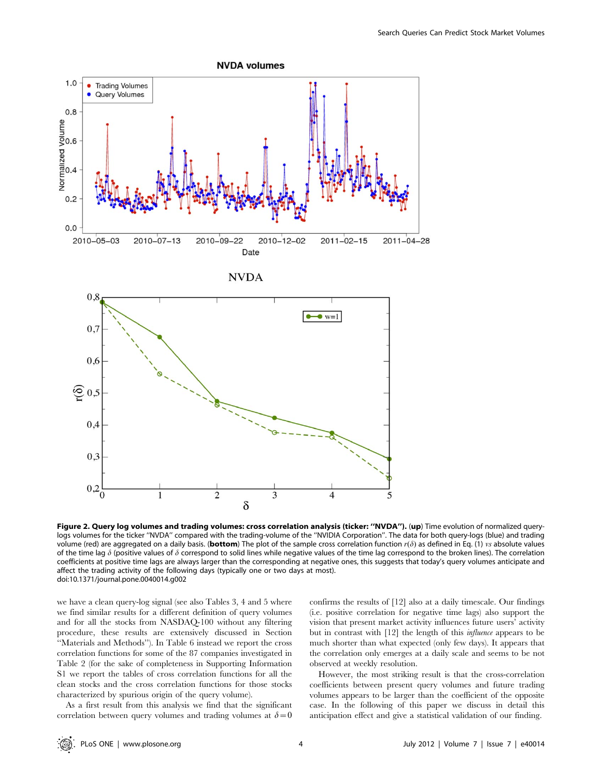

Figure 2. Query log volumes and trading volumes: cross correlation analysis (ticker: "NVDA"). (up) Time evolution of normalized querylogs volumes for the ticker ''NVDA'' compared with the trading-volume of the ''NVIDIA Corporation''. The data for both query-logs (blue) and trading volume (red) are aggregated on a daily basis. (**bottom**) The plot of the sample cross correlation function  $r(\delta)$  as defined in Eq. (1) vs absolute values of the time lag  $\delta$  (positive values of  $\delta$  correspond to solid lines while negative values of the time lag correspond to the broken lines). The correlation coefficients at positive time lags are always larger than the corresponding at negative ones, this suggests that today's query volumes anticipate and affect the trading activity of the following days (typically one or two days at most). doi:10.1371/journal.pone.0040014.g002

we have a clean query-log signal (see also Tables 3, 4 and 5 where we find similar results for a different definition of query volumes and for all the stocks from NASDAQ-100 without any filtering procedure, these results are extensively discussed in Section ''Materials and Methods''). In Table 6 instead we report the cross correlation functions for some of the 87 companies investigated in Table 2 (for the sake of completeness in Supporting Information S1 we report the tables of cross correlation functions for all the clean stocks and the cross correlation functions for those stocks characterized by spurious origin of the query volume).

As a first result from this analysis we find that the significant correlation between query volumes and trading volumes at  $\delta$  = 0 confirms the results of [12] also at a daily timescale. Our findings (i.e. positive correlation for negative time lags) also support the vision that present market activity influences future users' activity but in contrast with [12] the length of this influence appears to be much shorter than what expected (only few days). It appears that the correlation only emerges at a daily scale and seems to be not observed at weekly resolution.

However, the most striking result is that the cross-correlation coefficients between present query volumes and future trading volumes appears to be larger than the coefficient of the opposite case. In the following of this paper we discuss in detail this anticipation effect and give a statistical validation of our finding.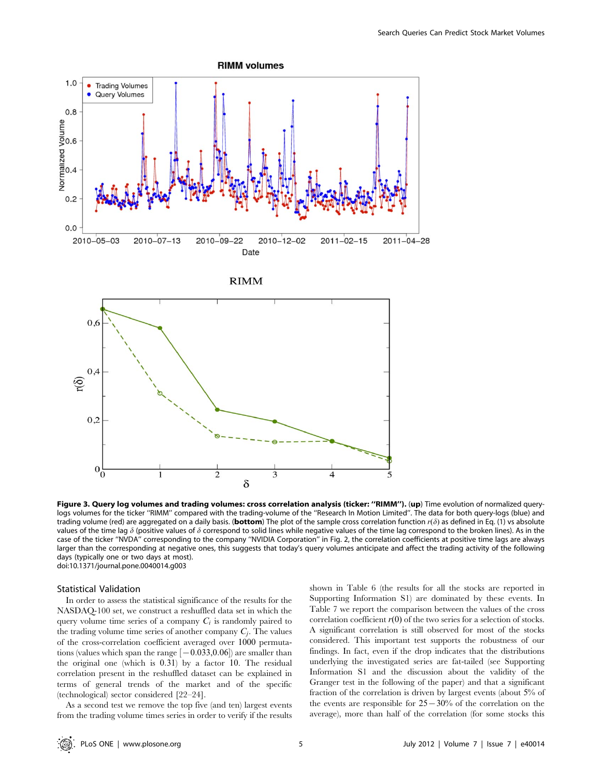

Figure 3. Query log volumes and trading volumes: cross correlation analysis (ticker: "RIMM"). (up) Time evolution of normalized querylogs volumes for the ticker ''RIMM'' compared with the trading-volume of the ''Research In Motion Limited''. The data for both query-logs (blue) and trading volume (red) are aggregated on a daily basis. (**bottom**) The plot of the sample cross correlation function  $r(\delta)$  as defined in Eq. (1) vs absolute values of the time lag  $\delta$  (positive values of  $\delta$  correspond to solid lines while negative values of the time lag correspond to the broken lines). As in the case of the ticker ''NVDA'' corresponding to the company ''NVIDIA Corporation'' in Fig. 2, the correlation coefficients at positive time lags are always larger than the corresponding at negative ones, this suggests that today's query volumes anticipate and affect the trading activity of the following days (typically one or two days at most). doi:10.1371/journal.pone.0040014.g003

# Statistical Validation

In order to assess the statistical significance of the results for the NASDAQ-100 set, we construct a reshuffled data set in which the query volume time series of a company  $C_i$  is randomly paired to the trading volume time series of another company  $C_i$ . The values of the cross-correlation coefficient averaged over 1000 permutations (values which span the range  $[-0.033,0.06]$ ) are smaller than the original one (which is 0:31) by a factor 10. The residual correlation present in the reshuffled dataset can be explained in terms of general trends of the market and of the specific (technological) sector considered [22–24].

As a second test we remove the top five (and ten) largest events from the trading volume times series in order to verify if the results shown in Table 6 (the results for all the stocks are reported in Supporting Information S1) are dominated by these events. In Table 7 we report the comparison between the values of the cross correlation coefficient  $r(0)$  of the two series for a selection of stocks. A significant correlation is still observed for most of the stocks considered. This important test supports the robustness of our findings. In fact, even if the drop indicates that the distributions underlying the investigated series are fat-tailed (see Supporting Information S1 and the discussion about the validity of the Granger test in the following of the paper) and that a significant fraction of the correlation is driven by largest events (about 5% of the events are responsible for  $25{-}30\%$  of the correlation on the average), more than half of the correlation (for some stocks this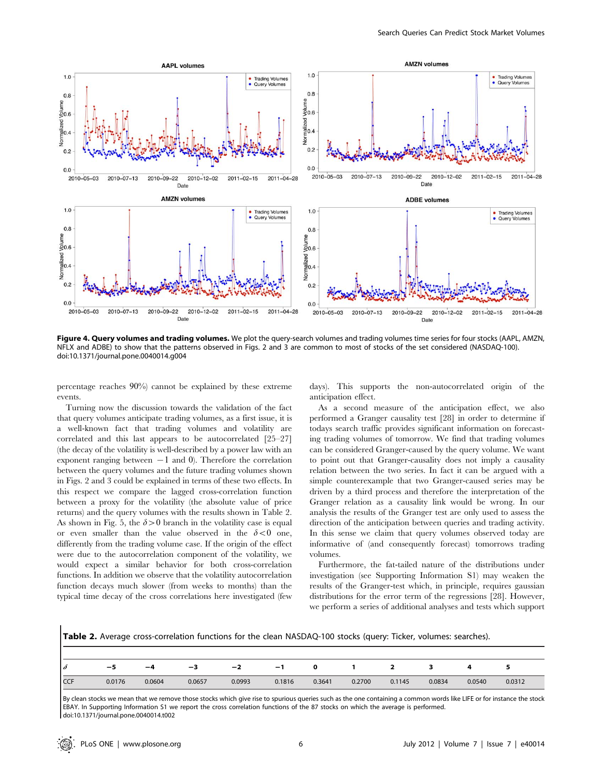

Figure 4. Query volumes and trading volumes. We plot the query-search volumes and trading volumes time series for four stocks (AAPL, AMZN, NFLX and ADBE) to show that the patterns observed in Figs. 2 and 3 are common to most of stocks of the set considered (NASDAQ-100). doi:10.1371/journal.pone.0040014.g004

percentage reaches 90%) cannot be explained by these extreme events.

Turning now the discussion towards the validation of the fact that query volumes anticipate trading volumes, as a first issue, it is a well-known fact that trading volumes and volatility are correlated and this last appears to be autocorrelated [25–27] (the decay of the volatility is well-described by a power law with an exponent ranging between  $-1$  and 0). Therefore the correlation between the query volumes and the future trading volumes shown in Figs. 2 and 3 could be explained in terms of these two effects. In this respect we compare the lagged cross-correlation function between a proxy for the volatility (the absolute value of price returns) and the query volumes with the results shown in Table 2. As shown in Fig. 5, the  $\delta > 0$  branch in the volatility case is equal or even smaller than the value observed in the  $\delta < 0$  one, differently from the trading volume case. If the origin of the effect were due to the autocorrelation component of the volatility, we would expect a similar behavior for both cross-correlation functions. In addition we observe that the volatility autocorrelation function decays much slower (from weeks to months) than the typical time decay of the cross correlations here investigated (few days). This supports the non-autocorrelated origin of the anticipation effect.

As a second measure of the anticipation effect, we also performed a Granger causality test [28] in order to determine if todays search traffic provides significant information on forecasting trading volumes of tomorrow. We find that trading volumes can be considered Granger-caused by the query volume. We want to point out that Granger-causality does not imply a causality relation between the two series. In fact it can be argued with a simple counterexample that two Granger-caused series may be driven by a third process and therefore the interpretation of the Granger relation as a causality link would be wrong. In our analysis the results of the Granger test are only used to assess the direction of the anticipation between queries and trading activity. In this sense we claim that query volumes observed today are informative of (and consequently forecast) tomorrows trading volumes.

Furthermore, the fat-tailed nature of the distributions under investigation (see Supporting Information S1) may weaken the results of the Granger-test which, in principle, requires gaussian distributions for the error term of the regressions [28]. However, we perform a series of additional analyses and tests which support

Table 2. Average cross-correlation functions for the clean NASDAQ-100 stocks (query: Ticker, volumes: searches).

| $\mathsf{I}\mathsf{\delta}$ | -5     | -4     | -3     | - 2    | -1     |        |        |        |        |        |        |
|-----------------------------|--------|--------|--------|--------|--------|--------|--------|--------|--------|--------|--------|
| CCF                         | 0.0176 | 0.0604 | 0.0657 | 0.0993 | 0.1816 | 0.3641 | 0.2700 | 0.1145 | 0.0834 | 0.0540 | 0.0312 |

By clean stocks we mean that we remove those stocks which give rise to spurious queries such as the one containing a common words like LIFE or for instance the stock EBAY. In Supporting Information S1 we report the cross correlation functions of the 87 stocks on which the average is performed. doi:10.1371/journal.pone.0040014.t002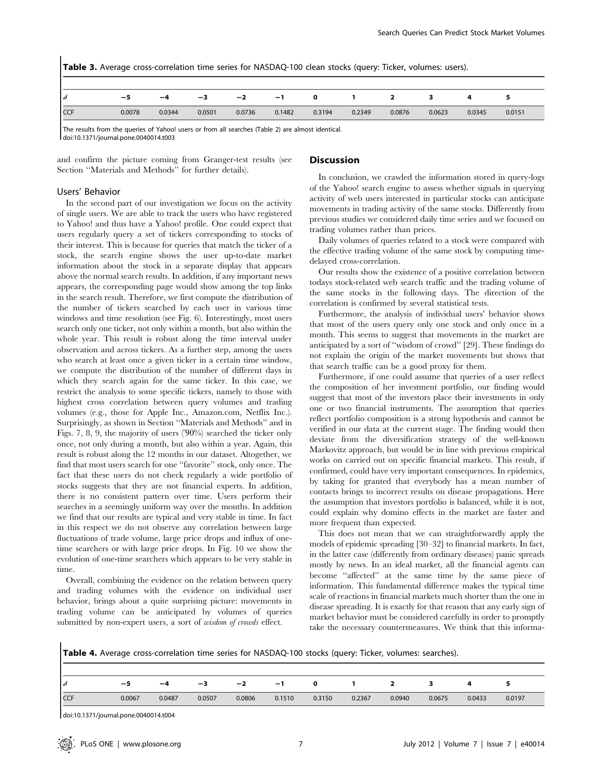|            | <b>Table 3.</b> Average cross-correlation time series for NASDAQ-100 clean stocks (query: Ticker, volumes: users). |        |        |        |        |          |        |                |        |        |        |
|------------|--------------------------------------------------------------------------------------------------------------------|--------|--------|--------|--------|----------|--------|----------------|--------|--------|--------|
|            |                                                                                                                    |        |        |        |        |          |        |                |        |        |        |
| 8          | -5                                                                                                                 | -4     | $-3$   | $-2$   |        | $-1$ 0 1 |        | $\overline{2}$ | 3      | 4      | 5      |
| <b>CCF</b> | 0.0078                                                                                                             | 0.0344 | 0.0501 | 0.0736 | 0.1482 | 0.3194   | 0.2349 | 0.0876         | 0.0623 | 0.0345 | 0.0151 |
|            | The seculiar forms the corrected of Velezial creaming forms off according (Table 3) and classical identities)      |        |        |        |        |          |        |                |        |        |        |

The results from the queries of Yahoo! users or from all searches (Table 2) are almost identical. doi:10.1371/journal.pone.0040014.t003

and confirm the picture coming from Granger-test results (see Section ''Materials and Methods'' for further details).

# **Discussion**

#### Users' Behavior

In the second part of our investigation we focus on the activity of single users. We are able to track the users who have registered to Yahoo! and thus have a Yahoo! profile. One could expect that users regularly query a set of tickers corresponding to stocks of their interest. This is because for queries that match the ticker of a stock, the search engine shows the user up-to-date market information about the stock in a separate display that appears above the normal search results. In addition, if any important news appears, the corresponding page would show among the top links in the search result. Therefore, we first compute the distribution of the number of tickers searched by each user in various time windows and time resolution (see Fig. 6). Interestingly, most users search only one ticker, not only within a month, but also within the whole year. This result is robust along the time interval under observation and across tickers. As a further step, among the users who search at least once a given ticker in a certain time window, we compute the distribution of the number of different days in which they search again for the same ticker. In this case, we restrict the analysis to some specific tickers, namely to those with highest cross correlation between query volumes and trading volumes (e.g., those for Apple Inc., Amazon.com, Netflix Inc.). Surprisingly, as shown in Section ''Materials and Methods'' and in Figs. 7, 8, 9, the majority of users  $(90%)$  searched the ticker only once, not only during a month, but also within a year. Again, this result is robust along the 12 months in our dataset. Altogether, we find that most users search for one ''favorite'' stock, only once. The fact that these users do not check regularly a wide portfolio of stocks suggests that they are not financial experts. In addition, there is no consistent pattern over time. Users perform their searches in a seemingly uniform way over the months. In addition we find that our results are typical and very stable in time. In fact in this respect we do not observe any correlation between large fluctuations of trade volume, large price drops and influx of onetime searchers or with large price drops. In Fig. 10 we show the evolution of one-time searchers which appears to be very stable in time.

Overall, combining the evidence on the relation between query and trading volumes with the evidence on individual user behavior, brings about a quite surprising picture: movements in trading volume can be anticipated by volumes of queries submitted by non-expert users, a sort of wisdom of crowds effect.

In conclusion, we crawled the information stored in query-logs of the Yahoo! search engine to assess whether signals in querying activity of web users interested in particular stocks can anticipate movements in trading activity of the same stocks. Differently from previous studies we considered daily time series and we focused on trading volumes rather than prices.

Daily volumes of queries related to a stock were compared with the effective trading volume of the same stock by computing timedelayed cross-correlation.

Our results show the existence of a positive correlation between todays stock-related web search traffic and the trading volume of the same stocks in the following days. The direction of the correlation is confirmed by several statistical tests.

Furthermore, the analysis of individual users' behavior shows that most of the users query only one stock and only once in a month. This seems to suggest that movements in the market are anticipated by a sort of ''wisdom of crowd'' [29]. These findings do not explain the origin of the market movements but shows that that search traffic can be a good proxy for them.

Furthermore, if one could assume that queries of a user reflect the composition of her investment portfolio, our finding would suggest that most of the investors place their investments in only one or two financial instruments. The assumption that queries reflect portfolio composition is a strong hypothesis and cannot be verified in our data at the current stage. The finding would then deviate from the diversification strategy of the well-known Markovitz approach, but would be in line with previous empirical works on carried out on specific financial markets. This result, if confirmed, could have very important consequences. In epidemics, by taking for granted that everybody has a mean number of contacts brings to incorrect results on disease propagations. Here the assumption that investors portfolio is balanced, while it is not, could explain why domino effects in the market are faster and more frequent than expected.

This does not mean that we can straightforwardly apply the models of epidemic spreading [30–32] to financial markets. In fact, in the latter case (differently from ordinary diseases) panic spreads mostly by news. In an ideal market, all the financial agents can become ''affected'' at the same time by the same piece of information. This fundamental difference makes the typical time scale of reactions in financial markets much shorter than the one in disease spreading. It is exactly for that reason that any early sign of market behavior must be considered carefully in order to promptly take the necessary countermeasures. We think that this informa-

Table 4. Average cross-correlation time series for NASDAQ-100 stocks (query: Ticker, volumes: searches).

| $\mathcal{S}$<br>0<br>$-1$<br>-5<br>-4<br>- 3 |        |        |        |        |        |        |        |        |        |        |        |
|-----------------------------------------------|--------|--------|--------|--------|--------|--------|--------|--------|--------|--------|--------|
| CCF                                           |        |        |        |        |        |        |        |        |        |        |        |
|                                               | 0.0067 | 0.0487 | 0.0507 | 0.0806 | 0.1510 | 0.3150 | 0.2367 | 0.0940 | 0.0675 | 0.0433 | 0.0197 |

doi:10.1371/journal.pone.0040014.t004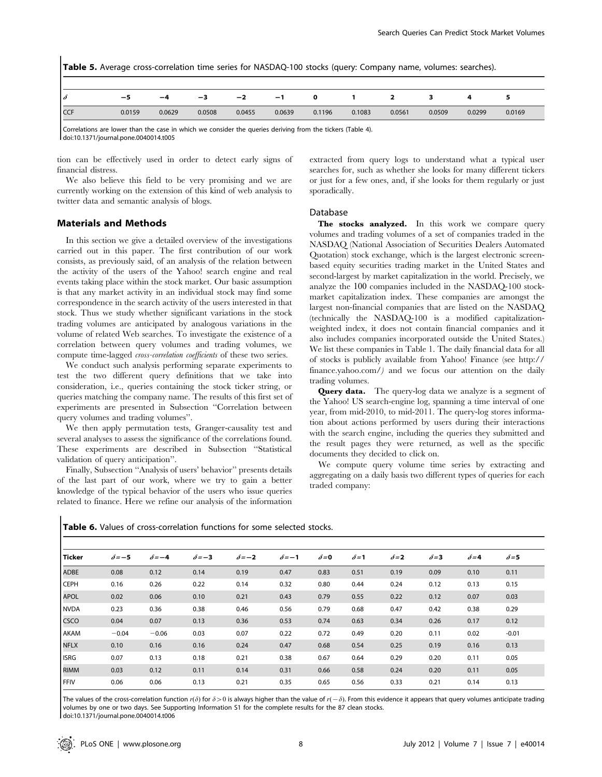|            | <b>Table 5.</b> Average cross-correlation time series for NASDAQ-100 stocks (query: Company name, volumes: searches). |        |        |        |        |              |        |        |        |        |        |
|------------|-----------------------------------------------------------------------------------------------------------------------|--------|--------|--------|--------|--------------|--------|--------|--------|--------|--------|
|            |                                                                                                                       |        |        |        |        |              |        |        |        |        |        |
|            | -5                                                                                                                    | -4     | -3     | $-2$   | $-1$   | $\mathbf{o}$ |        |        |        |        |        |
| <b>CCF</b> | 0.0159                                                                                                                | 0.0629 | 0.0508 | 0.0455 | 0.0639 | 0.1196       | 0.1083 | 0.0561 | 0.0509 | 0.0299 | 0.0169 |
|            |                                                                                                                       |        |        |        |        |              |        |        |        |        |        |

Correlations are lower than the case in which we consider the queries deriving from the tickers (Table 4). doi:10.1371/journal.pone.0040014.t005

tion can be effectively used in order to detect early signs of financial distress.

We also believe this field to be very promising and we are currently working on the extension of this kind of web analysis to twitter data and semantic analysis of blogs.

#### Materials and Methods

 $\mathbf{I}$ 

In this section we give a detailed overview of the investigations carried out in this paper. The first contribution of our work consists, as previously said, of an analysis of the relation between the activity of the users of the Yahoo! search engine and real events taking place within the stock market. Our basic assumption is that any market activity in an individual stock may find some correspondence in the search activity of the users interested in that stock. Thus we study whether significant variations in the stock trading volumes are anticipated by analogous variations in the volume of related Web searches. To investigate the existence of a correlation between query volumes and trading volumes, we compute time-lagged cross-correlation coefficients of these two series.

We conduct such analysis performing separate experiments to test the two different query definitions that we take into consideration, i.e., queries containing the stock ticker string, or queries matching the company name. The results of this first set of experiments are presented in Subsection ''Correlation between query volumes and trading volumes''.

We then apply permutation tests, Granger-causality test and several analyses to assess the significance of the correlations found. These experiments are described in Subsection ''Statistical validation of query anticipation''.

Finally, Subsection ''Analysis of users' behavior'' presents details of the last part of our work, where we try to gain a better knowledge of the typical behavior of the users who issue queries related to finance. Here we refine our analysis of the information extracted from query logs to understand what a typical user searches for, such as whether she looks for many different tickers or just for a few ones, and, if she looks for them regularly or just sporadically.

# Database

The stocks analyzed. In this work we compare query volumes and trading volumes of a set of companies traded in the NASDAQ (National Association of Securities Dealers Automated Quotation) stock exchange, which is the largest electronic screenbased equity securities trading market in the United States and second-largest by market capitalization in the world. Precisely, we analyze the 100 companies included in the NASDAQ-100 stockmarket capitalization index. These companies are amongst the largest non-financial companies that are listed on the NASDAQ (technically the NASDAQ-100 is a modified capitalizationweighted index, it does not contain financial companies and it also includes companies incorporated outside the United States.) We list these companies in Table 1. The daily financial data for all of stocks is publicly available from Yahoo! Finance (see http:// finance.yahoo.com/) and we focus our attention on the daily trading volumes.

Query data. The query-log data we analyze is a segment of the Yahoo! US search-engine log, spanning a time interval of one year, from mid-2010, to mid-2011. The query-log stores information about actions performed by users during their interactions with the search engine, including the queries they submitted and the result pages they were returned, as well as the specific documents they decided to click on.

We compute query volume time series by extracting and aggregating on a daily basis two different types of queries for each traded company:

| <b>Table 6.</b> Values of cross-correlation functions for some selected stocks. |
|---------------------------------------------------------------------------------|
|---------------------------------------------------------------------------------|

| Ticker      | $\delta = -5$ | $\delta = -4$ | $\delta = -3$ | $\delta = -2$ | $\delta$ =-1 | $\delta = 0$ | $\delta$ =1 | $\delta = 2$ | $\delta = 3$ | $\delta = 4$ | $\delta = 5$ |
|-------------|---------------|---------------|---------------|---------------|--------------|--------------|-------------|--------------|--------------|--------------|--------------|
| <b>ADBE</b> | 0.08          | 0.12          | 0.14          | 0.19          | 0.47         | 0.83         | 0.51        | 0.19         | 0.09         | 0.10         | 0.11         |
| <b>CEPH</b> | 0.16          | 0.26          | 0.22          | 0.14          | 0.32         | 0.80         | 0.44        | 0.24         | 0.12         | 0.13         | 0.15         |
| <b>APOL</b> | 0.02          | 0.06          | 0.10          | 0.21          | 0.43         | 0.79         | 0.55        | 0.22         | 0.12         | 0.07         | 0.03         |
| <b>NVDA</b> | 0.23          | 0.36          | 0.38          | 0.46          | 0.56         | 0.79         | 0.68        | 0.47         | 0.42         | 0.38         | 0.29         |
| <b>CSCO</b> | 0.04          | 0.07          | 0.13          | 0.36          | 0.53         | 0.74         | 0.63        | 0.34         | 0.26         | 0.17         | 0.12         |
| AKAM        | $-0.04$       | $-0.06$       | 0.03          | 0.07          | 0.22         | 0.72         | 0.49        | 0.20         | 0.11         | 0.02         | $-0.01$      |
| <b>NFLX</b> | 0.10          | 0.16          | 0.16          | 0.24          | 0.47         | 0.68         | 0.54        | 0.25         | 0.19         | 0.16         | 0.13         |
| <b>ISRG</b> | 0.07          | 0.13          | 0.18          | 0.21          | 0.38         | 0.67         | 0.64        | 0.29         | 0.20         | 0.11         | 0.05         |
| <b>RIMM</b> | 0.03          | 0.12          | 0.11          | 0.14          | 0.31         | 0.66         | 0.58        | 0.24         | 0.20         | 0.11         | 0.05         |
| FFIV        | 0.06          | 0.06          | 0.13          | 0.21          | 0.35         | 0.65         | 0.56        | 0.33         | 0.21         | 0.14         | 0.13         |

The values of the cross-correlation function  $r(\delta)$  for  $\delta > 0$  is always higher than the value of  $r(-\delta)$ . From this evidence it appears that query volumes anticipate trading volumes by one or two days. See Supporting Information S1 for the complete results for the 87 clean stocks. doi:10.1371/journal.pone.0040014.t006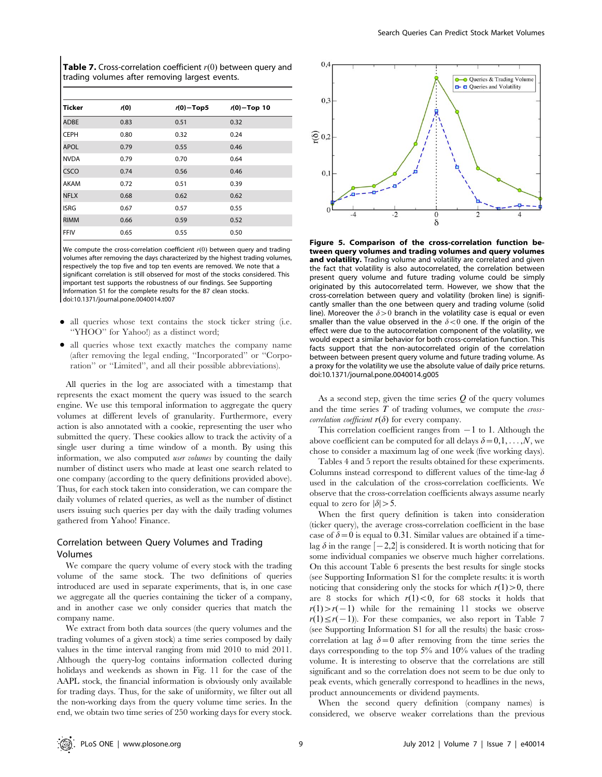**Table 7.** Cross-correlation coefficient  $r(0)$  between query and trading volumes after removing largest events.

| <b>Ticker</b> | 7(O) | $r(0)$ -Top5 | $(0)$ -Top 10 |
|---------------|------|--------------|---------------|
| <b>ADBE</b>   | 0.83 | 0.51         | 0.32          |
| <b>CEPH</b>   | 0.80 | 0.32         | 0.24          |
| <b>APOL</b>   | 0.79 | 0.55         | 0.46          |
| <b>NVDA</b>   | 0.79 | 0.70         | 0.64          |
| <b>CSCO</b>   | 0.74 | 0.56         | 0.46          |
| <b>AKAM</b>   | 0.72 | 0.51         | 0.39          |
| <b>NFLX</b>   | 0.68 | 0.62         | 0.62          |
| <b>ISRG</b>   | 0.67 | 0.57         | 0.55          |
| <b>RIMM</b>   | 0.66 | 0.59         | 0.52          |
| FFIV          | 0.65 | 0.55         | 0.50          |

We compute the cross-correlation coefficient  $r(0)$  between query and trading volumes after removing the days characterized by the highest trading volumes, respectively the top five and top ten events are removed. We note that a significant correlation is still observed for most of the stocks considered. This important test supports the robustness of our findings. See Supporting Information S1 for the complete results for the 87 clean stocks. doi:10.1371/journal.pone.0040014.t007

- all queries whose text contains the stock ticker string (i.e. ''YHOO'' for Yahoo!) as a distinct word;
- all queries whose text exactly matches the company name (after removing the legal ending, ''Incorporated'' or ''Corporation'' or ''Limited'', and all their possible abbreviations).

All queries in the log are associated with a timestamp that represents the exact moment the query was issued to the search engine. We use this temporal information to aggregate the query volumes at different levels of granularity. Furthermore, every action is also annotated with a cookie, representing the user who submitted the query. These cookies allow to track the activity of a single user during a time window of a month. By using this information, we also computed *user volumes* by counting the daily number of distinct users who made at least one search related to one company (according to the query definitions provided above). Thus, for each stock taken into consideration, we can compare the daily volumes of related queries, as well as the number of distinct users issuing such queries per day with the daily trading volumes gathered from Yahoo! Finance.

## Correlation between Query Volumes and Trading Volumes

We compare the query volume of every stock with the trading volume of the same stock. The two definitions of queries introduced are used in separate experiments, that is, in one case we aggregate all the queries containing the ticker of a company, and in another case we only consider queries that match the company name.

We extract from both data sources (the query volumes and the trading volumes of a given stock) a time series composed by daily values in the time interval ranging from mid 2010 to mid 2011. Although the query-log contains information collected during holidays and weekends as shown in Fig. 11 for the case of the AAPL stock, the financial information is obviously only available for trading days. Thus, for the sake of uniformity, we filter out all the non-working days from the query volume time series. In the end, we obtain two time series of 250 working days for every stock.



Figure 5. Comparison of the cross-correlation function between query volumes and trading volumes and query volumes and volatility. Trading volume and volatility are correlated and given the fact that volatility is also autocorrelated, the correlation between present query volume and future trading volume could be simply originated by this autocorrelated term. However, we show that the cross-correlation between query and volatility (broken line) is significantly smaller than the one between query and trading volume (solid line). Moreover the  $\delta > 0$  branch in the volatility case is equal or even smaller than the value observed in the  $\delta$  < 0 one. If the origin of the effect were due to the autocorrelation component of the volatility, we would expect a similar behavior for both cross-correlation function. This facts support that the non-autocorrelated origin of the correlation between between present query volume and future trading volume. As a proxy for the volatility we use the absolute value of daily price returns. doi:10.1371/journal.pone.0040014.g005

As a second step, given the time series  $\hat{O}$  of the query volumes and the time series  $T$  of trading volumes, we compute the *crosscorrelation coefficient*  $r(\delta)$  for every company.

This correlation coefficient ranges from  $-1$  to 1. Although the above coefficient can be computed for all delays  $\delta = 0,1,\ldots,N$ , we chose to consider a maximum lag of one week (five working days).

Tables 4 and 5 report the results obtained for these experiments. Columns instead correspond to different values of the time-lag  $\delta$ used in the calculation of the cross-correlation coefficients. We observe that the cross-correlation coefficients always assume nearly equal to zero for  $|\delta| > 5$ .

When the first query definition is taken into consideration (ticker query), the average cross-correlation coefficient in the base case of  $\delta = 0$  is equal to 0.31. Similar values are obtained if a timelag  $\delta$  in the range  $[-2,2]$  is considered. It is worth noticing that for some individual companies we observe much higher correlations. On this account Table 6 presents the best results for single stocks (see Supporting Information S1 for the complete results: it is worth noticing that considering only the stocks for which  $r(1) > 0$ , there are 8 stocks for which  $r(1) < 0$ , for 68 stocks it holds that  $r(1) > r(-1)$  while for the remaining 11 stocks we observe  $r(1) \le r(-1)$ . For these companies, we also report in Table 7 (see Supporting Information S1 for all the results) the basic crosscorrelation at lag  $\delta=0$  after removing from the time series the days corresponding to the top 5% and 10% values of the trading volume. It is interesting to observe that the correlations are still significant and so the correlation does not seem to be due only to peak events, which generally correspond to headlines in the news, product announcements or dividend payments.

When the second query definition (company names) is considered, we observe weaker correlations than the previous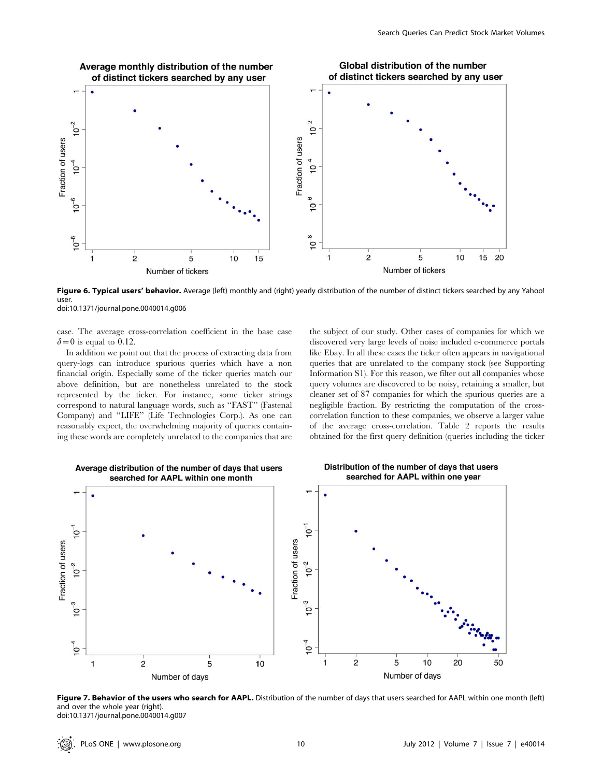

Figure 6. Typical users' behavior. Average (left) monthly and (right) yearly distribution of the number of distinct tickers searched by any Yahoo! user

doi:10.1371/journal.pone.0040014.g006

case. The average cross-correlation coefficient in the base case  $\delta$  = 0 is equal to 0.12.

In addition we point out that the process of extracting data from query-logs can introduce spurious queries which have a non financial origin. Especially some of the ticker queries match our above definition, but are nonetheless unrelated to the stock represented by the ticker. For instance, some ticker strings correspond to natural language words, such as ''FAST'' (Fastenal Company) and ''LIFE'' (Life Technologies Corp.). As one can reasonably expect, the overwhelming majority of queries containing these words are completely unrelated to the companies that are the subject of our study. Other cases of companies for which we discovered very large levels of noise included e-commerce portals like Ebay. In all these cases the ticker often appears in navigational queries that are unrelated to the company stock (see Supporting Information S1). For this reason, we filter out all companies whose query volumes are discovered to be noisy, retaining a smaller, but cleaner set of 87 companies for which the spurious queries are a negligible fraction. By restricting the computation of the crosscorrelation function to these companies, we observe a larger value of the average cross-correlation. Table 2 reports the results obtained for the first query definition (queries including the ticker



Figure 7. Behavior of the users who search for AAPL. Distribution of the number of days that users searched for AAPL within one month (left) and over the whole year (right). doi:10.1371/journal.pone.0040014.g007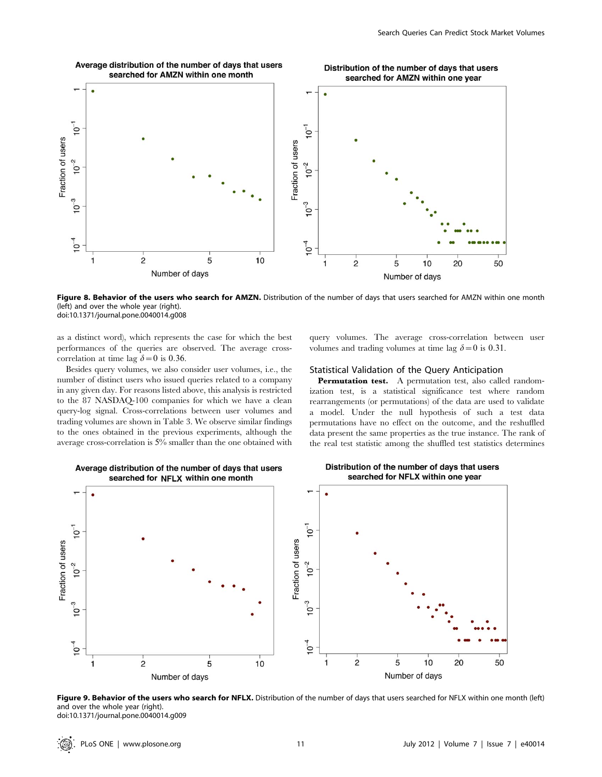![](_page_10_Figure_1.jpeg)

Figure 8. Behavior of the users who search for AMZN. Distribution of the number of days that users searched for AMZN within one month (left) and over the whole year (right). doi:10.1371/journal.pone.0040014.g008

as a distinct word), which represents the case for which the best performances of the queries are observed. The average crosscorrelation at time lag  $\delta = 0$  is 0.36.

Besides query volumes, we also consider user volumes, i.e., the number of distinct users who issued queries related to a company in any given day. For reasons listed above, this analysis is restricted to the 87 NASDAQ-100 companies for which we have a clean query-log signal. Cross-correlations between user volumes and trading volumes are shown in Table 3. We observe similar findings to the ones obtained in the previous experiments, although the average cross-correlation is 5% smaller than the one obtained with query volumes. The average cross-correlation between user volumes and trading volumes at time lag  $\delta = 0$  is 0.31.

#### Statistical Validation of the Query Anticipation

Permutation test. A permutation test, also called randomization test, is a statistical significance test where random rearrangements (or permutations) of the data are used to validate a model. Under the null hypothesis of such a test data permutations have no effect on the outcome, and the reshuffled data present the same properties as the true instance. The rank of the real test statistic among the shuffled test statistics determines

![](_page_10_Figure_8.jpeg)

Distribution of the number of days that users

Figure 9. Behavior of the users who search for NFLX. Distribution of the number of days that users searched for NFLX within one month (left) and over the whole year (right). doi:10.1371/journal.pone.0040014.g009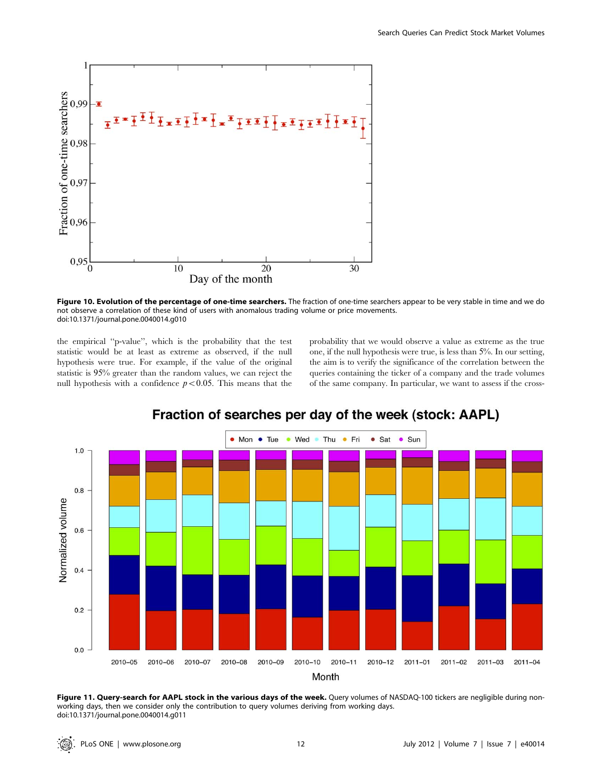![](_page_11_Figure_1.jpeg)

Figure 10. Evolution of the percentage of one-time searchers. The fraction of one-time searchers appear to be very stable in time and we do not observe a correlation of these kind of users with anomalous trading volume or price movements. doi:10.1371/journal.pone.0040014.g010

the empirical ''p-value'', which is the probability that the test statistic would be at least as extreme as observed, if the null hypothesis were true. For example, if the value of the original statistic is 95% greater than the random values, we can reject the null hypothesis with a confidence  $p<0.05$ . This means that the probability that we would observe a value as extreme as the true one, if the null hypothesis were true, is less than 5%. In our setting, the aim is to verify the significance of the correlation between the queries containing the ticker of a company and the trade volumes of the same company. In particular, we want to assess if the cross-

![](_page_11_Figure_5.jpeg)

# Fraction of searches per day of the week (stock: AAPL)

Figure 11. Query-search for AAPL stock in the various days of the week. Query volumes of NASDAQ-100 tickers are negligible during nonworking days, then we consider only the contribution to query volumes deriving from working days. doi:10.1371/journal.pone.0040014.g011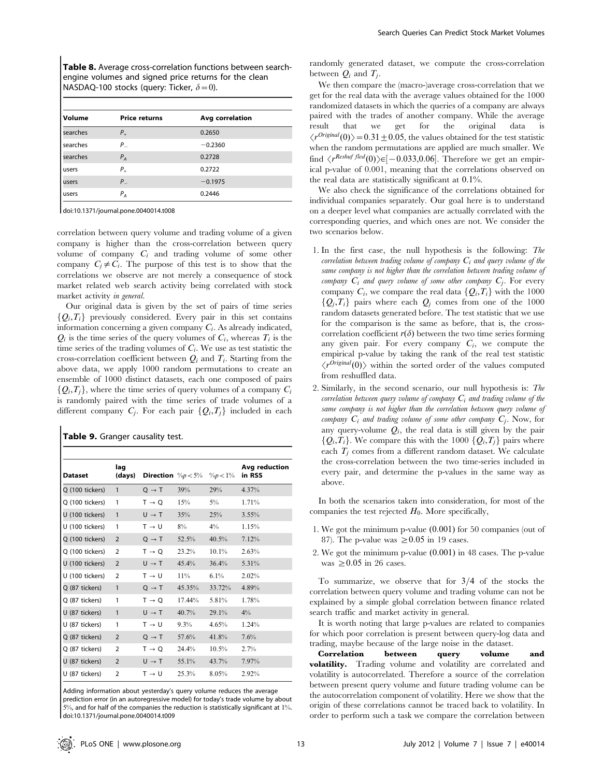Table 8. Average cross-correlation functions between searchengine volumes and signed price returns for the clean NASDAQ-100 stocks (query: Ticker,  $\delta = 0$ ).

| Volume   | <b>Price returns</b> | Avg correlation |  |
|----------|----------------------|-----------------|--|
| searches | $P_{+}$              | 0.2650          |  |
| searches | $P_{-}$              | $-0.2360$       |  |
| searches | $P_{A}$              | 0.2728          |  |
| users    | $P_{+}$              | 0.2722          |  |
| users    | P                    | $-0.1975$       |  |
| users    | $P_{A}$              | 0.2446          |  |
|          |                      |                 |  |

doi:10.1371/journal.pone.0040014.t008

correlation between query volume and trading volume of a given company is higher than the cross-correlation between query volume of company  $C_i$  and trading volume of some other company  $C_i \neq C_i$ . The purpose of this test is to show that the correlations we observe are not merely a consequence of stock market related web search activity being correlated with stock market activity in general.

Our original data is given by the set of pairs of time series  $\{Q_i, T_i\}$  previously considered. Every pair in this set contains information concerning a given company  $C_i$ . As already indicated,  $Q_i$  is the time series of the query volumes of  $C_i$ , whereas  $T_i$  is the time series of the trading volumes of  $C_i$ . We use as test statistic the cross-correlation coefficient between  $Q_i$  and  $T_i$ . Starting from the above data, we apply 1000 random permutations to create an ensemble of 1000 distinct datasets, each one composed of pairs  $\{Q_i, T_i\}$ , where the time series of query volumes of a company  $C_i$ is randomly paired with the time series of trade volumes of a different company  $C_i$ . For each pair  $\{Q_i, T_i\}$  included in each

|  |  |  | Table 9. Granger causality test. |  |
|--|--|--|----------------------------------|--|
|--|--|--|----------------------------------|--|

| <b>Dataset</b>  | lag<br>(days)  | <b>Direction</b> $\%p < 5\%$ |        | $\%p<1\%$ | Avg reduction<br>in RSS |
|-----------------|----------------|------------------------------|--------|-----------|-------------------------|
| Q (100 tickers) | $\mathbf{1}$   | $Q \rightarrow T$            | 39%    | 29%       | 4.37%                   |
| Q (100 tickers) | 1              | $T \rightarrow Q$            | 15%    | $5\%$     | 1.71%                   |
| U (100 tickers) | $\mathbf{1}$   | $U \rightarrow T$            | 35%    | 25%       | $3.55\%$                |
| U (100 tickers) | 1              | $T \rightarrow U$            | 8%     | $4\%$     | 1.15%                   |
| Q (100 tickers) | $\overline{2}$ | $Q \rightarrow T$            | 52.5%  | 40.5%     | 7.12%                   |
| Q (100 tickers) | $\overline{2}$ | $T \rightarrow 0$            | 23.2%  | 10.1%     | 2.63%                   |
| U (100 tickers) | $\overline{2}$ | $U \rightarrow T$            | 45.4%  | 36.4%     | 5.31%                   |
| U (100 tickers) | 2              | $T \rightarrow U$            | 11%    | 6.1%      | 2.02%                   |
| Q (87 tickers)  | $\mathbf{1}$   | $Q \rightarrow T$            | 45.35% | 33.72%    | 4.89%                   |
| Q (87 tickers)  | 1              | $T \rightarrow Q$            | 17.44% | 5.81%     | 1.78%                   |
| U (87 tickers)  | $\mathbf{1}$   | $U \rightarrow T$            | 40.7%  | 29.1%     | $4\%$                   |
| U (87 tickers)  | 1              | $T \rightarrow U$            | 9.3%   | 4.65%     | 1.24%                   |
| Q (87 tickers)  | $\overline{2}$ | $Q \rightarrow T$            | 57.6%  | 41.8%     | 7.6%                    |
| Q (87 tickers)  | $\overline{2}$ | $T \rightarrow Q$            | 24.4%  | 10.5%     | 2.7%                    |
| U (87 tickers)  | $\overline{2}$ | $U \rightarrow T$            | 55.1%  | 43.7%     | 7.97%                   |
| U (87 tickers)  | $\overline{2}$ | $T \rightarrow U$            | 25.3%  | 8.05%     | 2.92%                   |

Adding information about yesterday's query volume reduces the average prediction error (in an autoregressive model) for today's trade volume by about  $5\%$ , and for half of the companies the reduction is statistically significant at  $1\%$ . doi:10.1371/journal.pone.0040014.t009

randomly generated dataset, we compute the cross-correlation between  $Q_i$  and  $T_i$ .

We then compare the (macro-)average cross-correlation that we get for the real data with the average values obtained for the 1000 randomized datasets in which the queries of a company are always paired with the trades of another company. While the average result that we get for the original data is  $\langle r^{Original}(0)\rangle$  = 0.31  $\pm$  0.05, the values obtained for the test statistic when the random permutations are applied are much smaller. We find  $\langle r^{Reshuf\text{ }fled}(0)\rangle \in [-0.033,0.06]$ . Therefore we get an empirical p-value of 0.001, meaning that the correlations observed on the real data are statistically significant at  $0.1\%$ .

We also check the significance of the correlations obtained for individual companies separately. Our goal here is to understand on a deeper level what companies are actually correlated with the corresponding queries, and which ones are not. We consider the two scenarios below.

- 1. In the first case, the null hypothesis is the following: The correlation between trading volume of company  $C_i$  and query volume of the same company is not higher than the correlation between trading volume of company  $C_i$  and query volume of some other company  $C_i$ . For every company  $C_i$ , we compare the real data  $\{Q_i, T_i\}$  with the 1000  $\{Q_i, T_i\}$  pairs where each  $Q_i$  comes from one of the 1000 random datasets generated before. The test statistic that we use for the comparison is the same as before, that is, the crosscorrelation coefficient  $r(\delta)$  between the two time series forming any given pair. For every company  $C_i$ , we compute the empirical p-value by taking the rank of the real test statistic  $\langle r^{Original}(0) \rangle$  within the sorted order of the values computed from reshuffled data.
- 2. Similarly, in the second scenario, our null hypothesis is: The correlation between query volume of company  $C_i$  and trading volume of the same company is not higher than the correlation between query volume of company  $C_i$  and trading volume of some other company  $C_i$ . Now, for any query-volume  $Q_i$ , the real data is still given by the pair  $\{Q_i, T_i\}$ . We compare this with the 1000  $\{Q_i, T_i\}$  pairs where each  $T_i$  comes from a different random dataset. We calculate the cross-correlation between the two time-series included in every pair, and determine the p-values in the same way as above.

In both the scenarios taken into consideration, for most of the companies the test rejected  $H_0$ . More specifically,

- 1. We got the minimum p-value (0:001) for 50 companies (out of 87). The p-value was  $\geq 0.05$  in 19 cases.
- 2. We got the minimum p-value (0:001) in 48 cases. The p-value was  $\geq$ 0.05 in 26 cases.

To summarize, we observe that for  $3/4$  of the stocks the correlation between query volume and trading volume can not be explained by a simple global correlation between finance related search traffic and market activity in general.

It is worth noting that large p-values are related to companies for which poor correlation is present between query-log data and trading, maybe because of the large noise in the dataset.

Correlation between query volume and volatility. Trading volume and volatility are correlated and volatility is autocorrelated. Therefore a source of the correlation between present query volume and future trading volume can be the autocorrelation component of volatility. Here we show that the origin of these correlations cannot be traced back to volatility. In order to perform such a task we compare the correlation between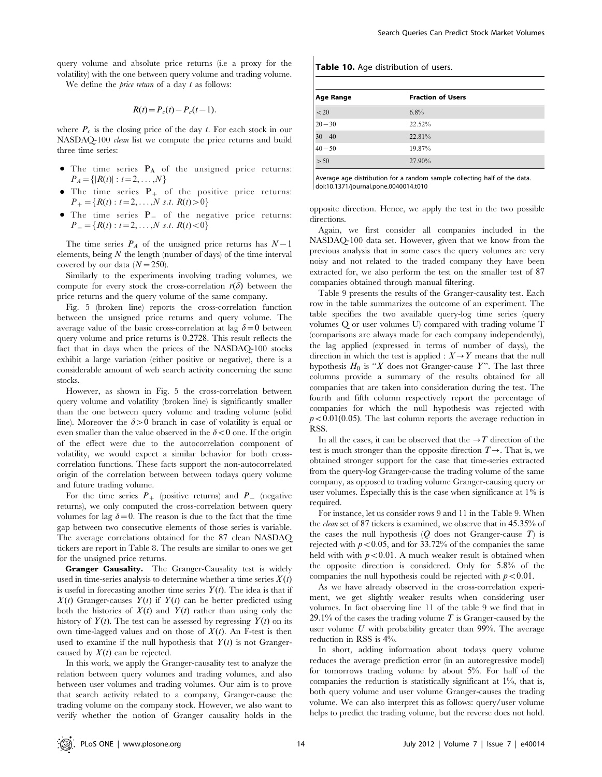query volume and absolute price returns (i.e a proxy for the volatility) with the one between query volume and trading volume.

We define the *price return* of a day  $t$  as follows:

$$
R(t) = P_c(t) - P_c(t-1).
$$

where  $P_c$  is the closing price of the day t. For each stock in our NASDAQ-100 clean list we compute the price returns and build three time series:

- $\bullet$  The time series  $P_A$  of the unsigned price returns:  $P_A = \{ |R(t)| : t = 2, \ldots, N \}$
- $\bullet$  The time series  $P_+$  of the positive price returns:  $P_+ = \{R(t) : t = 2, ..., N \text{ s.t. } R(t) > 0\}$
- $\bullet$  The time series  $P_{-}$  of the negative price returns:  $P_{-} = \{R(t) : t = 2, ..., N \text{ s.t. } R(t) < 0\}$

The time series  $P_A$  of the unsigned price returns has  $N-1$ elements, being  $N$  the length (number of days) of the time interval covered by our data  $(N=250)$ .

Similarly to the experiments involving trading volumes, we compute for every stock the cross-correlation  $r(\delta)$  between the price returns and the query volume of the same company.

Fig. 5 (broken line) reports the cross-correlation function between the unsigned price returns and query volume. The average value of the basic cross-correlation at lag  $\delta = 0$  between query volume and price returns is 0:2728. This result reflects the fact that in days when the prices of the NASDAQ-100 stocks exhibit a large variation (either positive or negative), there is a considerable amount of web search activity concerning the same stocks.

However, as shown in Fig. 5 the cross-correlation between query volume and volatility (broken line) is significantly smaller than the one between query volume and trading volume (solid line). Moreover the  $\delta > 0$  branch in case of volatility is equal or even smaller than the value observed in the  $\delta$  < 0 one. If the origin of the effect were due to the autocorrelation component of volatility, we would expect a similar behavior for both crosscorrelation functions. These facts support the non-autocorrelated origin of the correlation between between todays query volume and future trading volume.

For the time series  $P_+$  (positive returns) and  $P_-$  (negative returns), we only computed the cross-correlation between query volumes for lag  $\delta=0$ . The reason is due to the fact that the time gap between two consecutive elements of those series is variable. The average correlations obtained for the 87 clean NASDAQ tickers are report in Table 8. The results are similar to ones we get for the unsigned price returns.

Granger Causality. The Granger-Causality test is widely used in time-series analysis to determine whether a time series  $X(t)$ is useful in forecasting another time series  $Y(t)$ . The idea is that if  $X(t)$  Granger-causes  $Y(t)$  if  $Y(t)$  can be better predicted using both the histories of  $X(t)$  and  $Y(t)$  rather than using only the history of  $Y(t)$ . The test can be assessed by regressing  $Y(t)$  on its own time-lagged values and on those of  $X(t)$ . An F-test is then used to examine if the null hypothesis that  $Y(t)$  is not Grangercaused by  $X(t)$  can be rejected.

In this work, we apply the Granger-causality test to analyze the relation between query volumes and trading volumes, and also between user volumes and trading volumes. Our aim is to prove that search activity related to a company, Granger-cause the trading volume on the company stock. However, we also want to verify whether the notion of Granger causality holds in the

Table 10. Age distribution of users.

| Age Range | <b>Fraction of Users</b> |  |
|-----------|--------------------------|--|
| < 20      | 6.8%                     |  |
| $20 - 30$ | 22.52%                   |  |
| $30 - 40$ | 22.81%                   |  |
| $40 - 50$ | 19.87%                   |  |
| > 50      | 27.90%                   |  |

Average age distribution for a random sample collecting half of the data. doi:10.1371/journal.pone.0040014.t010

opposite direction. Hence, we apply the test in the two possible directions.

Again, we first consider all companies included in the NASDAQ-100 data set. However, given that we know from the previous analysis that in some cases the query volumes are very noisy and not related to the traded company they have been extracted for, we also perform the test on the smaller test of 87 companies obtained through manual filtering.

Table 9 presents the results of the Granger-causality test. Each row in the table summarizes the outcome of an experiment. The table specifies the two available query-log time series (query volumes Q or user volumes U) compared with trading volume T (comparisons are always made for each company independently), the lag applied (expressed in terms of number of days), the direction in which the test is applied :  $X \rightarrow Y$  means that the null hypothesis  $H_0$  is "X does not Granger-cause Y". The last three columns provide a summary of the results obtained for all companies that are taken into consideration during the test. The fourth and fifth column respectively report the percentage of companies for which the null hypothesis was rejected with  $p<0.01(0.05)$ . The last column reports the average reduction in RSS.

In all the cases, it can be observed that the  $\rightarrow$  T direction of the test is much stronger than the opposite direction  $T \rightarrow$ . That is, we obtained stronger support for the case that time-series extracted from the query-log Granger-cause the trading volume of the same company, as opposed to trading volume Granger-causing query or user volumes. Especially this is the case when significance at 1% is required.

For instance, let us consider rows 9 and 11 in the Table 9. When the clean set of 87 tickers is examined, we observe that in 45:35% of the cases the null hypothesis  $(Q)$  does not Granger-cause  $T$ ) is rejected with  $p < 0.05$ , and for 33.72% of the companies the same held with with  $p<0.01$ . A much weaker result is obtained when the opposite direction is considered. Only for 5:8% of the companies the null hypothesis could be rejected with  $p<0.01$ .

As we have already observed in the cross-correlation experiment, we get slightly weaker results when considering user volumes. In fact observing line 11 of the table 9 we find that in 29.1% of the cases the trading volume  $T$  is Granger-caused by the user volume  $U$  with probability greater than 99%. The average reduction in RSS is 4%.

In short, adding information about todays query volume reduces the average prediction error (in an autoregressive model) for tomorrows trading volume by about 5%. For half of the companies the reduction is statistically significant at 1%, that is, both query volume and user volume Granger-causes the trading volume. We can also interpret this as follows: query/user volume helps to predict the trading volume, but the reverse does not hold.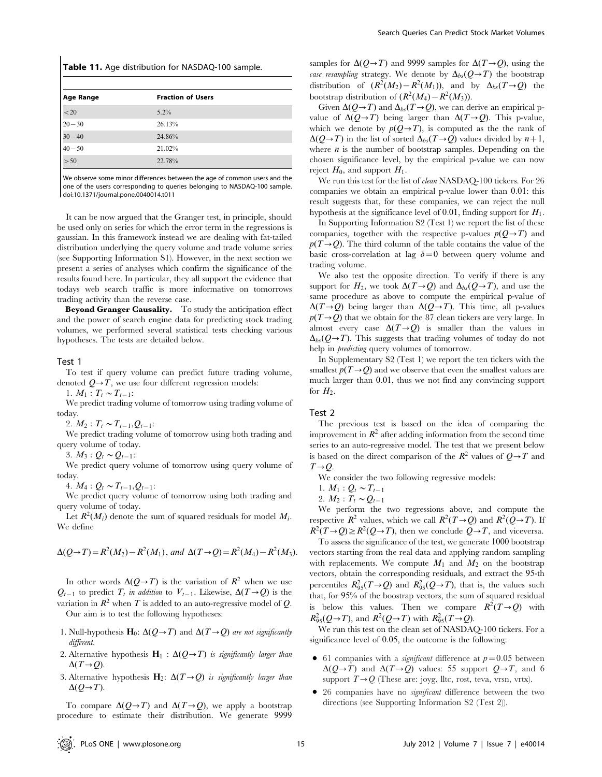| <b>Table 11.</b> Age distribution for NASDAQ-100 sample. |                          |  |
|----------------------------------------------------------|--------------------------|--|
| Age Range                                                | <b>Fraction of Users</b> |  |
| $\vert$ < 20                                             | $5.2\%$                  |  |
| $20 - 30$                                                | 26.13%                   |  |
| $30 - 40$                                                | 24.86%                   |  |
| $40 - 50$                                                | 21.02%                   |  |
| >50                                                      | 22.78%                   |  |

We observe some minor differences between the age of common users and the one of the users corresponding to queries belonging to NASDAQ-100 sample. doi:10.1371/journal.pone.0040014.t011

It can be now argued that the Granger test, in principle, should be used only on series for which the error term in the regressions is gaussian. In this framework instead we are dealing with fat-tailed distribution underlying the query volume and trade volume series (see Supporting Information S1). However, in the next section we present a series of analyses which confirm the significance of the results found here. In particular, they all support the evidence that todays web search traffic is more informative on tomorrows trading activity than the reverse case.

Beyond Granger Causality. To study the anticipation effect and the power of search engine data for predicting stock trading volumes, we performed several statistical tests checking various hypotheses. The tests are detailed below.

#### Test 1

To test if query volume can predict future trading volume, denoted  $Q \rightarrow T$ , we use four different regression models:

1.  $M_1: T_t \sim T_{t-1}$ :

We predict trading volume of tomorrow using trading volume of today.

2.  $M_2: T_t \sim T_{t-1}, Q_{t-1}:$ 

We predict trading volume of tomorrow using both trading and query volume of today.

3.  $M_3$ :  $Q_t \sim Q_{t-1}$ :

We predict query volume of tomorrow using query volume of today.

4.  $M_4$  :  $Q_t \sim T_{t-1}, Q_{t-1}$ :

We predict query volume of tomorrow using both trading and query volume of today.

Let  $R^2(M_i)$  denote the sum of squared residuals for model  $M_i$ . We define

$$
\Delta(Q \to T) = R^2(M_2) - R^2(M_1), \text{ and } \Delta(T \to Q) = R^2(M_4) - R^2(M_3).
$$

In other words  $\Delta(Q \rightarrow T)$  is the variation of  $R^2$  when we use  $Q_{t-1}$  to predict  $T_t$  in addition to  $V_{t-1}$ . Likewise,  $\Delta(T\rightarrow Q)$  is the variation in  $\mathbb{R}^2$  when T is added to an auto-regressive model of Q. Our aim is to test the following hypotheses:

- 1. Null-hypothesis  $H_0$ :  $\Delta(Q \rightarrow T)$  and  $\Delta(T \rightarrow Q)$  are not significantly different.
- 2. Alternative hypothesis  $H_1 : \Delta(Q \rightarrow T)$  is significantly larger than  $\Delta(T\rightarrow Q)$ .
- 3. Alternative hypothesis  $H_2$ :  $\Delta(T \rightarrow Q)$  is significantly larger than  $\Delta(Q \rightarrow T)$ .

To compare  $\Delta(Q \rightarrow T)$  and  $\Delta(T \rightarrow Q)$ , we apply a bootstrap procedure to estimate their distribution. We generate 9999

samples for  $\Delta(Q \rightarrow T)$  and 9999 samples for  $\Delta(T \rightarrow Q)$ , using the case resampling strategy. We denote by  $\Delta_{bs}(Q\rightarrow T)$  the bootstrap distribution of  $(R^2(M_2)-R^2(M_1))$ , and by  $\Delta_{bs}(T\rightarrow Q)$  the bootstrap distribution of  $(R^2(M_4) - R^2(M_3))$ .

Given  $\Delta(Q \rightarrow T)$  and  $\Delta_{bs}(T \rightarrow Q)$ , we can derive an empirical pvalue of  $\Delta(Q \rightarrow T)$  being larger than  $\Delta(T \rightarrow Q)$ . This p-value, which we denote by  $p(Q \rightarrow T)$ , is computed as the the rank of  $\Delta(Q \rightarrow T)$  in the list of sorted  $\Delta_{bs}(T \rightarrow Q)$  values divided by  $n+1$ , where  $n$  is the number of bootstrap samples. Depending on the chosen significance level, by the empirical p-value we can now reject  $H_0$ , and support  $H_1$ .

We run this test for the list of clean NASDAQ-100 tickers. For 26 companies we obtain an empirical p-value lower than 0:01: this result suggests that, for these companies, we can reject the null hypothesis at the significance level of 0.01, finding support for  $H_1$ .

In Supporting Information S2 (Test 1) we report the list of these companies, together with the respective p-values  $p(Q \rightarrow T)$  and  $p(T\rightarrow Q)$ . The third column of the table contains the value of the basic cross-correlation at lag  $\delta = 0$  between query volume and trading volume.

We also test the opposite direction. To verify if there is any support for  $H_2$ , we took  $\Delta(T\rightarrow Q)$  and  $\Delta_{bs}(Q\rightarrow T)$ , and use the same procedure as above to compute the empirical p-value of  $\Delta(T\rightarrow Q)$  being larger than  $\Delta(Q\rightarrow T)$ . This time, all p-values  $p(T\rightarrow Q)$  that we obtain for the 87 clean tickers are very large. In almost every case  $\Delta(T\rightarrow Q)$  is smaller than the values in  $\Delta_{bs}(Q \rightarrow T)$ . This suggests that trading volumes of today do not help in predicting query volumes of tomorrow.

In Supplementary S2 (Test 1) we report the ten tickers with the smallest  $p(T\rightarrow Q)$  and we observe that even the smallest values are much larger than 0:01, thus we not find any convincing support for  $H_2$ .

#### Test 2

The previous test is based on the idea of comparing the improvement in  $\mathbb{R}^2$  after adding information from the second time series to an auto-regressive model. The test that we present below is based on the direct comparison of the  $R^2$  values of  $O \rightarrow T$  and  $T\rightarrow Q$ .

We consider the two following regressive models:

1.  $M_1: Q_t \sim T_{t-1}$ 

2.  $M_2: T_t \sim Q_{t-1}$ 

We perform the two regressions above, and compute the respective  $R^2$  values, which we call  $R^2(T\rightarrow Q)$  and  $R^2(Q\rightarrow T)$ . If  $R^2(T\rightarrow Q) \geq R^2(Q\rightarrow T)$ , then we conclude  $Q\rightarrow T$ , and viceversa.

To assess the significance of the test, we generate 1000 bootstrap vectors starting from the real data and applying random sampling with replacements. We compute  $M_1$  and  $M_2$  on the bootstrap vectors, obtain the corresponding residuals, and extract the 95-th percentiles  $R_{95}^2(T\rightarrow Q)$  and  $R_{95}^2(Q\rightarrow T)$ , that is, the values such that, for 95% of the boostrap vectors, the sum of squared residual is below this values. Then we compare  $R^2(T\rightarrow Q)$  with  $R_{95}^2(Q \rightarrow T)$ , and  $R^2(Q \rightarrow T)$  with  $R_{95}^2(T \rightarrow Q)$ .

We run this test on the clean set of NASDAQ-100 tickers. For a significance level of 0.05, the outcome is the following:

- 61 companies with a *significant* difference at  $p=0.05$  between  $\Delta(Q \rightarrow T)$  and  $\Delta(T \rightarrow Q)$  values: 55 support  $Q \rightarrow T$ , and 6 support  $T\rightarrow Q$  (These are: joyg, lltc, rost, teva, vrsn, vrtx).
- 26 companies have no *significant* difference between the two directions (see Supporting Information S2 (Test 2)).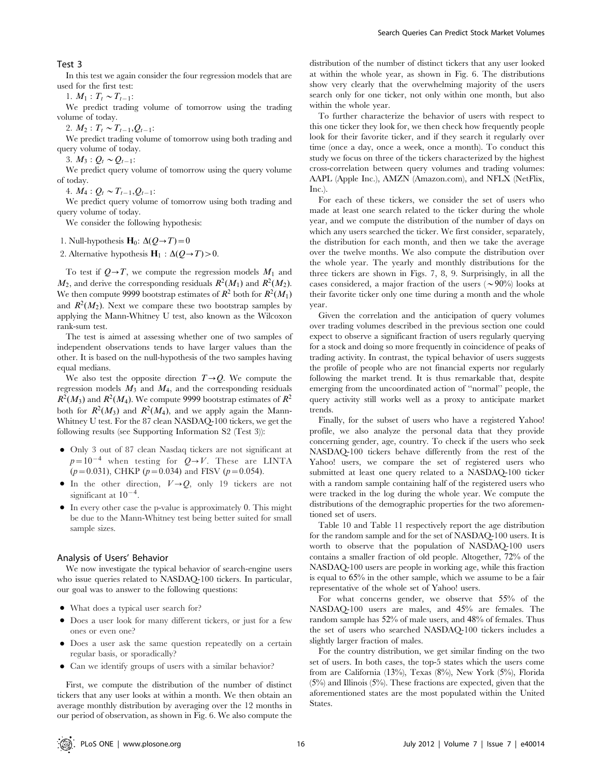#### Test 3

In this test we again consider the four regression models that are used for the first test:

1.  $M_1: T_t \sim T_{t-1}:$ 

We predict trading volume of tomorrow using the trading volume of today.

2.  $M_2: T_t \sim T_{t-1}, Q_{t-1}$ :

We predict trading volume of tomorrow using both trading and query volume of today.

3.  $M_3$ :  $Q_t \sim Q_{t-1}$ :

We predict query volume of tomorrow using the query volume of today.

4.  $M_4$  :  $Q_t \sim T_{t-1}, Q_{t-1}$ :

We predict query volume of tomorrow using both trading and query volume of today.

We consider the following hypothesis:

1. Null-hypothesis  $H_0: \Delta(Q \rightarrow T)=0$ 

2. Alternative hypothesis  $H_1 : \Delta(O \rightarrow T) > 0$ .

To test if  $Q \rightarrow T$ , we compute the regression models  $M_1$  and  $M_2$ , and derive the corresponding residuals  $R^2(M_1)$  and  $R^2(M_2)$ . We then compute 9999 bootstrap estimates of  $R^2$  both for  $R^2(M_1)$ and  $R^2(M_2)$ . Next we compare these two bootstrap samples by applying the Mann-Whitney U test, also known as the Wilcoxon rank-sum test.

The test is aimed at assessing whether one of two samples of independent observations tends to have larger values than the other. It is based on the null-hypothesis of the two samples having equal medians.

We also test the opposite direction  $T\rightarrow O$ . We compute the regression models  $M_3$  and  $M_4$ , and the corresponding residuals  $R^2(M_3)$  and  $R^2(M_4)$ . We compute 9999 bootstrap estimates of  $R^2$ both for  $R^2(M_3)$  and  $R^2(M_4)$ , and we apply again the Mann-Whitney U test. For the 87 clean NASDAQ-100 tickers, we get the following results (see Supporting Information S2 (Test 3)):

- N Only 3 out of 87 clean Nasdaq tickers are not significant at  $p=10^{-4}$  when testing for  $Q \rightarrow V$ . These are LINTA  $(p=0.031)$ , CHKP  $(p=0.034)$  and FISV  $(p=0.054)$ .
- In the other direction,  $V \rightarrow Q$ , only 19 tickers are not significant at  $10^{-4}$ .
- $\bullet$  In every other case the p-value is approximately 0. This might be due to the Mann-Whitney test being better suited for small sample sizes.

#### Analysis of Users' Behavior

We now investigate the typical behavior of search-engine users who issue queries related to NASDAQ-100 tickers. In particular, our goal was to answer to the following questions:

- What does a typical user search for?
- N Does a user look for many different tickers, or just for a few ones or even one?
- Does a user ask the same question repeatedly on a certain regular basis, or sporadically?
- Can we identify groups of users with a similar behavior?

First, we compute the distribution of the number of distinct tickers that any user looks at within a month. We then obtain an average monthly distribution by averaging over the 12 months in our period of observation, as shown in Fig. 6. We also compute the

distribution of the number of distinct tickers that any user looked at within the whole year, as shown in Fig. 6. The distributions show very clearly that the overwhelming majority of the users search only for one ticker, not only within one month, but also within the whole year.

To further characterize the behavior of users with respect to this one ticker they look for, we then check how frequently people look for their favorite ticker, and if they search it regularly over time (once a day, once a week, once a month). To conduct this study we focus on three of the tickers characterized by the highest cross-correlation between query volumes and trading volumes: AAPL (Apple Inc.), AMZN (Amazon.com), and NFLX (NetFlix, Inc.).

For each of these tickers, we consider the set of users who made at least one search related to the ticker during the whole year, and we compute the distribution of the number of days on which any users searched the ticker. We first consider, separately, the distribution for each month, and then we take the average over the twelve months. We also compute the distribution over the whole year. The yearly and monthly distributions for the three tickers are shown in Figs. 7, 8, 9. Surprisingly, in all the cases considered, a major fraction of the users  $({\sim}90\%)$  looks at their favorite ticker only one time during a month and the whole year.

Given the correlation and the anticipation of query volumes over trading volumes described in the previous section one could expect to observe a significant fraction of users regularly querying for a stock and doing so more frequently in coincidence of peaks of trading activity. In contrast, the typical behavior of users suggests the profile of people who are not financial experts nor regularly following the market trend. It is thus remarkable that, despite emerging from the uncoordinated action of ''normal'' people, the query activity still works well as a proxy to anticipate market trends.

Finally, for the subset of users who have a registered Yahoo! profile, we also analyze the personal data that they provide concerning gender, age, country. To check if the users who seek NASDAQ-100 tickers behave differently from the rest of the Yahoo! users, we compare the set of registered users who submitted at least one query related to a NASDAQ-100 ticker with a random sample containing half of the registered users who were tracked in the log during the whole year. We compute the distributions of the demographic properties for the two aforementioned set of users.

Table 10 and Table 11 respectively report the age distribution for the random sample and for the set of NASDAQ-100 users. It is worth to observe that the population of NASDAQ-100 users contains a smaller fraction of old people. Altogether, 72% of the NASDAQ-100 users are people in working age, while this fraction is equal to 65% in the other sample, which we assume to be a fair representative of the whole set of Yahoo! users.

For what concerns gender, we observe that 55% of the NASDAQ-100 users are males, and 45% are females. The random sample has 52% of male users, and 48% of females. Thus the set of users who searched NASDAQ-100 tickers includes a slightly larger fraction of males.

For the country distribution, we get similar finding on the two set of users. In both cases, the top-5 states which the users come from are California (13%), Texas (8%), New York (5%), Florida  $(5\%)$  and Illinois  $(5\%)$ . These fractions are expected, given that the aforementioned states are the most populated within the United States.